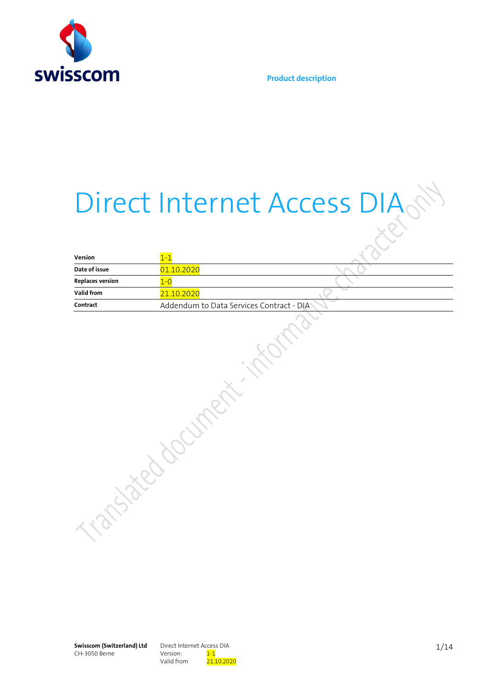

# Direct Internet Access DIA

| Version                 | $\equiv$                                 |  |
|-------------------------|------------------------------------------|--|
| Date of issue           | 01.10.2020                               |  |
| <b>Replaces version</b> | $-$ (                                    |  |
| Valid from              | 21.10.2020                               |  |
| Contract                | Addendum to Data Services Contract - DIA |  |

**Swisscom (Switzerland) Ltd** CH-3050 Berne

Direct Internet Access DIA Version: 1-1<br>Valid from 21.1  $21.10.2020$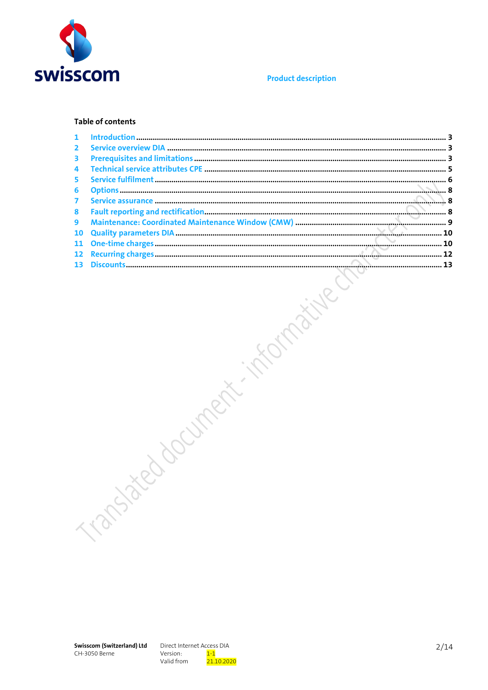

#### **Table of contents**

| 9<br>10<br>11 |  |
|---------------|--|
| 12<br>13      |  |
|               |  |
|               |  |
| Trans         |  |

Direct Internet Access DIA Version:  $1-1$ 21 10 2020 Valid from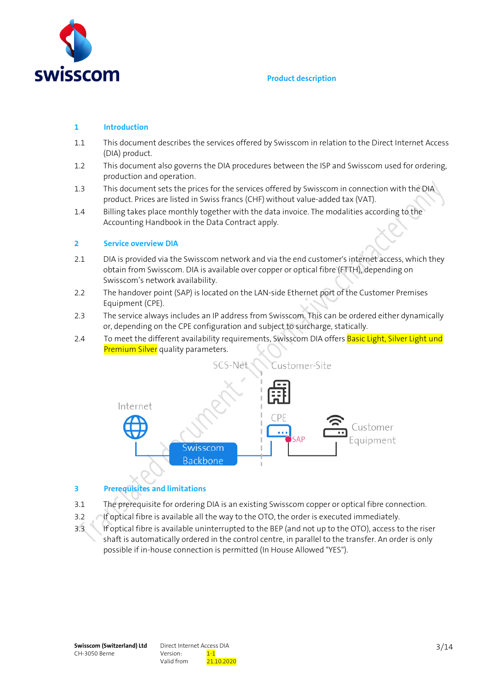

### **1 Introduction**

- 1.1 This document describes the services offered by Swisscom in relation to the Direct Internet Access (DIA) product.
- 1.2 This document also governs the DIA procedures between the ISP and Swisscom used for ordering, production and operation.
- 1.3 This document sets the prices for the services offered by Swisscom in connection with the DIA product. Prices are listed in Swiss francs (CHF) without value-added tax (VAT).
- 1.4 Billing takes place monthly together with the data invoice. The modalities according to the Accounting Handbook in the Data Contract apply.

#### **2 Service overview DIA**

- 2.1 DIA is provided via the Swisscom network and via the end customer's internet access, which they obtain from Swisscom. DIA is available over copper or optical fibre (FTTH), depending on Swisscom's network availability.
- 2.2 The handover point (SAP) is located on the LAN-side Ethernet port of the Customer Premises Equipment (CPE).
- 2.3 The service always includes an IP address from Swisscom. This can be ordered either dynamically or, depending on the CPE configuration and subject to surcharge, statically.
- 2.4 To meet the different availability requirements, Swisscom DIA offers Basic Light, Silver Light und **Premium Silver** quality parameters.



# **3 Prerequisites and limitations**

- 3.1 The prerequisite for ordering DIA is an existing Swisscom copper or optical fibre connection.
- 3.2 If optical fibre is available all the way to the OTO, the order is executed immediately.
- 3.3 If optical fibre is available uninterrupted to the BEP (and not up to the OTO), access to the riser shaft is automatically ordered in the control centre, in parallel to the transfer. An order is only possible if in-house connection is permitted (In House Allowed "YES").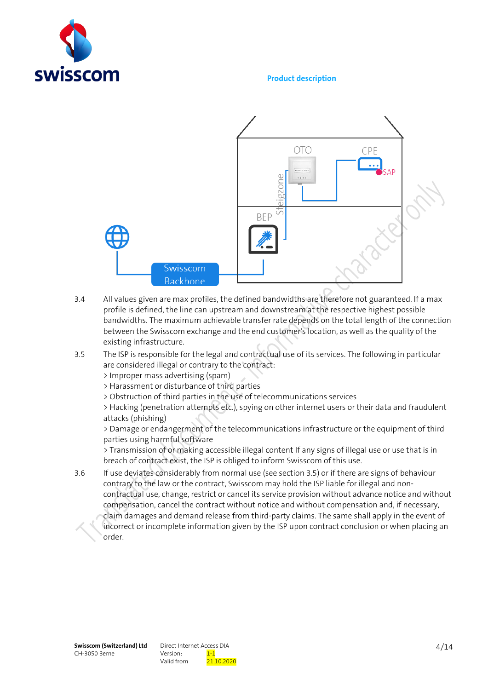



- 3.4 All values given are max profiles, the defined bandwidths are therefore not guaranteed. If a max profile is defined, the line can upstream and downstream at the respective highest possible bandwidths. The maximum achievable transfer rate depends on the total length of the connection between the Swisscom exchange and the end customer's location, as well as the quality of the existing infrastructure.
- 3.5 The ISP is responsible for the legal and contractual use of its services. The following in particular are considered illegal or contrary to the contract:
	- > Improper mass advertising (spam)
	- > Harassment or disturbance of third parties
	- > Obstruction of third parties in the use of telecommunications services

> Hacking (penetration attempts etc.), spying on other internet users or their data and fraudulent attacks (phishing)

> Damage or endangerment of the telecommunications infrastructure or the equipment of third parties using harmful software

> Transmission of or making accessible illegal content If any signs of illegal use or use that is in breach of contract exist, the ISP is obliged to inform Swisscom of this use.

3.6 If use deviates considerably from normal use (see section 3.5) or if there are signs of behaviour contrary to the law or the contract, Swisscom may hold the ISP liable for illegal and noncontractual use, change, restrict or cancel its service provision without advance notice and without compensation, cancel the contract without notice and without compensation and, if necessary, claim damages and demand release from third-party claims. The same shall apply in the event of incorrect or incomplete information given by the ISP upon contract conclusion or when placing an order.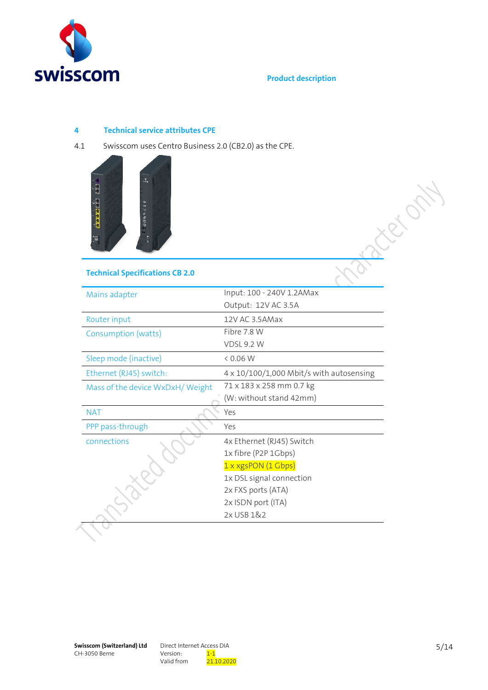

#### **4 Technical service attributes CPE**

4.1 Swisscom uses Centro Business 2.0 (CB2.0) as the CPE.



# **Technical Specifications CB 2.0**

| Mains adapter                    | Input: 100 - 240V 1.2AMax                |
|----------------------------------|------------------------------------------|
|                                  | Output: 12V AC 3.5A                      |
| Router input                     | 12V AC 3.5AMax                           |
| Consumption (watts)              | Fibre 7.8 W                              |
|                                  | <b>VDSL 9.2 W</b>                        |
| Sleep mode (inactive)            | & 0.06 W                                 |
| Ethernet (RJ45) switch:          | 4 x 10/100/1,000 Mbit/s with autosensing |
| Mass of the device WxDxH/ Weight | 71 x 183 x 258 mm 0.7 kg                 |
|                                  | (W: without stand 42mm)                  |
|                                  |                                          |
| NAT                              | Yes                                      |
| PPP pass-through                 | Yes                                      |
| connections                      | 4x Ethernet (RJ45) Switch                |
|                                  | 1x fibre (P2P 1Gbps)                     |
|                                  | 1 x xgsPON (1 Gbps)                      |
|                                  | 1x DSL signal connection                 |
|                                  | 2x FXS ports (ATA)                       |
|                                  | 2x ISDN port (ITA)                       |
|                                  | 2x USB 1&2                               |

Riccioty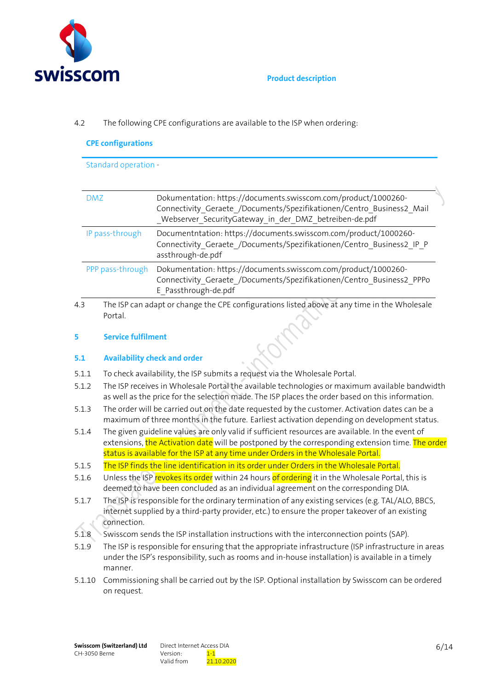

4.2 The following CPE configurations are available to the ISP when ordering:

| Standard operation - |                                                                                                                                                                                                   |
|----------------------|---------------------------------------------------------------------------------------------------------------------------------------------------------------------------------------------------|
|                      |                                                                                                                                                                                                   |
| DMZ                  | Dokumentation: https://documents.swisscom.com/product/1000260-<br>Connectivity Geraete /Documents/Spezifikationen/Centro Business2 Mail<br>_Webserver_SecurityGateway_in_der_DMZ_betreiben-de.pdf |
| IP pass-through      | Documentntation: https://documents.swisscom.com/product/1000260-<br>Connectivity Geraete /Documents/Spezifikationen/Centro Business2 IP P<br>assthrough-de.pdf                                    |
| PPP pass-through     | Dokumentation: https://documents.swisscom.com/product/1000260-<br>Connectivity Geraete /Documents/Spezifikationen/Centro Business2 PPPo<br>E Passthrough-de.pdf                                   |

4.3 The ISP can adapt or change the Portal.

# **5 Service fulfilment**

#### **5.1 Availability check and order**

- 5.1.1 To check availability, the ISP submits a request via the Wholesale Portal.
- 5.1.2 The ISP receives in Wholesale Portal the available technologies or maximum available bandwidth as well as the price for the selection made. The ISP places the order based on this information.
- 5.1.3 The order will be carried out on the date requested by the customer. Activation dates can be a maximum of three months in the future. Earliest activation depending on development status.
- 5.1.4 The given guideline values are only valid if sufficient resources are available. In the event of extensions, the Activation date will be postponed by the corresponding extension time. The order status is available for the ISP at any time under Orders in the Wholesale Portal.
- 5.1.5 The ISP finds the line identification in its order under Orders in the Wholesale Portal.
- 5.1.6 Unless the ISP revokes its order within 24 hours of ordering it in the Wholesale Portal, this is deemed to have been concluded as an individual agreement on the corresponding DIA.
- 5.1.7 The ISP is responsible for the ordinary termination of any existing services (e.g. TAL/ALO, BBCS, internet supplied by a third-party provider, etc.) to ensure the proper takeover of an existing connection.
- 5.1.8 Swisscom sends the ISP installation instructions with the interconnection points (SAP).
- 5.1.9 The ISP is responsible for ensuring that the appropriate infrastructure (ISP infrastructure in areas under the ISP's responsibility, such as rooms and in-house installation) is available in a timely manner.
- 5.1.10 Commissioning shall be carried out by the ISP. Optional installation by Swisscom can be ordered on request.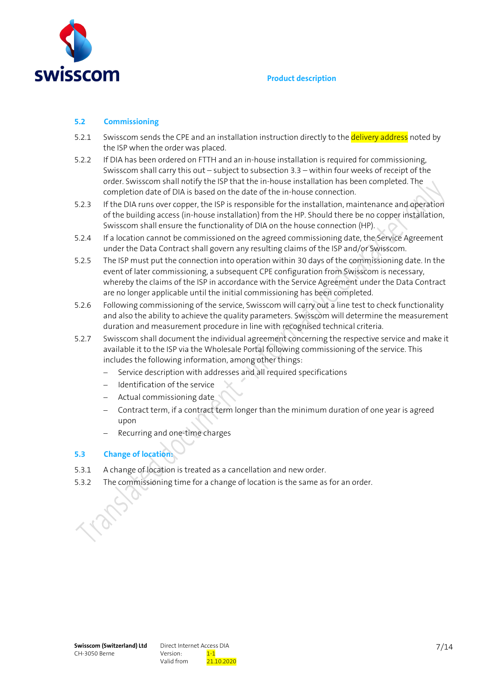

#### **5.2 Commissioning**

- 5.2.1 Swisscom sends the CPE and an installation instruction directly to the **delivery address** noted by the ISP when the order was placed.
- 5.2.2 If DIA has been ordered on FTTH and an in-house installation is required for commissioning, Swisscom shall carry this out – subject to subsection 3.3 – within four weeks of receipt of the order. Swisscom shall notify the ISP that the in-house installation has been completed. The completion date of DIA is based on the date of the in-house connection.
- 5.2.3 If the DIA runs over copper, the ISP is responsible for the installation, maintenance and operation of the building access (in-house installation) from the HP. Should there be no copper installation, Swisscom shall ensure the functionality of DIA on the house connection (HP).
- 5.2.4 If a location cannot be commissioned on the agreed commissioning date, the Service Agreement under the Data Contract shall govern any resulting claims of the ISP and/or Swisscom.
- 5.2.5 The ISP must put the connection into operation within 30 days of the commissioning date. In the event of later commissioning, a subsequent CPE configuration from Swisscom is necessary, whereby the claims of the ISP in accordance with the Service Agreement under the Data Contract are no longer applicable until the initial commissioning has been completed.
- 5.2.6 Following commissioning of the service, Swisscom will carry out a line test to check functionality and also the ability to achieve the quality parameters. Swisscom will determine the measurement duration and measurement procedure in line with recognised technical criteria.
- 5.2.7 Swisscom shall document the individual agreement concerning the respective service and make it available it to the ISP via the Wholesale Portal following commissioning of the service. This includes the following information, among other things:
	- Service description with addresses and all required specifications
	- − Identification of the service
	- − Actual commissioning date
	- − Contract term, if a contract term longer than the minimum duration of one year is agreed upon
	- − Recurring and one-time charges

# **5.3 Change of location:**

- 5.3.1 A change of location is treated as a cancellation and new order.
- 5.3.2 The commissioning time for a change of location is the same as for an order.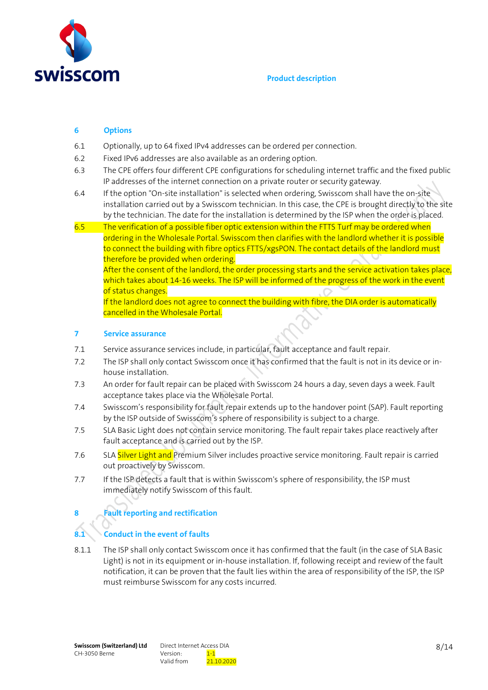

#### **6 Options**

- 6.1 Optionally, up to 64 fixed IPv4 addresses can be ordered per connection.
- 6.2 Fixed IPv6 addresses are also available as an ordering option.
- 6.3 The CPE offers four different CPE configurations for scheduling internet traffic and the fixed public IP addresses of the internet connection on a private router or security gateway.
- 6.4 If the option "On-site installation" is selected when ordering, Swisscom shall have the on-site installation carried out by a Swisscom technician. In this case, the CPE is brought directly to the site by the technician. The date for the installation is determined by the ISP when the order is placed.
- 6.5 The verification of a possible fiber optic extension within the FTTS Turf may be ordered when ordering in the Wholesale Portal. Swisscom then clarifies with the landlord whether it is possible to connect the building with fibre optics FTTS/xgsPON. The contact details of the landlord must therefore be provided when ordering.

After the consent of the landlord, the order processing starts and the service activation takes place, which takes about 14-16 weeks. The ISP will be informed of the progress of the work in the event of status changes.

If the landlord does not agree to connect the building with fibre, the DIA order is automatically cancelled in the Wholesale Portal.

#### **7 Service assurance**

- 7.1 Service assurance services include, in particular, fault acceptance and fault repair.
- 7.2 The ISP shall only contact Swisscom once it has confirmed that the fault is not in its device or inhouse installation.
- 7.3 An order for fault repair can be placed with Swisscom 24 hours a day, seven days a week. Fault acceptance takes place via the Wholesale Portal.
- 7.4 Swisscom's responsibility for fault repair extends up to the handover point (SAP). Fault reporting by the ISP outside of Swisscom's sphere of responsibility is subject to a charge.
- 7.5 SLA Basic Light does not contain service monitoring. The fault repair takes place reactively after fault acceptance and is carried out by the ISP.
- 7.6 SLA Silver Light and Premium Silver includes proactive service monitoring. Fault repair is carried out proactively by Swisscom.
- 7.7 If the ISP detects a fault that is within Swisscom's sphere of responsibility, the ISP must immediately notify Swisscom of this fault.

# **8 Fault reporting and rectification**

#### **8.1 Conduct in the event of faults**

8.1.1 The ISP shall only contact Swisscom once it has confirmed that the fault (in the case of SLA Basic Light) is not in its equipment or in-house installation. If, following receipt and review of the fault notification, it can be proven that the fault lies within the area of responsibility of the ISP, the ISP must reimburse Swisscom for any costs incurred.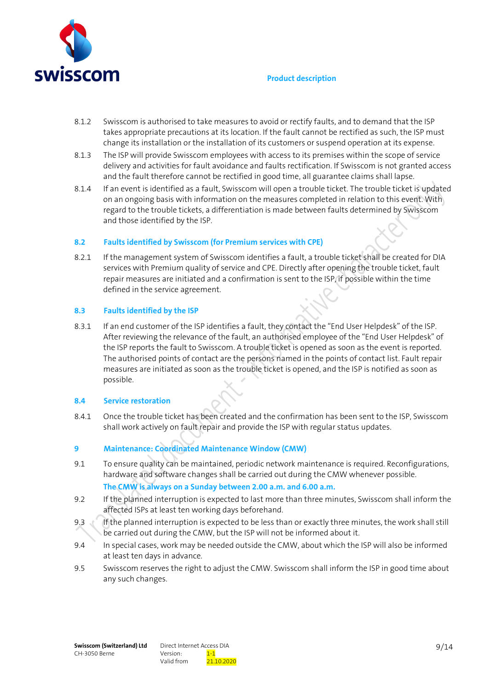

- 8.1.2 Swisscom is authorised to take measures to avoid or rectify faults, and to demand that the ISP takes appropriate precautions at its location. If the fault cannot be rectified as such, the ISP must change its installation or the installation of its customers or suspend operation at its expense.
- 8.1.3 The ISP will provide Swisscom employees with access to its premises within the scope of service delivery and activities for fault avoidance and faults rectification. If Swisscom is not granted access and the fault therefore cannot be rectified in good time, all guarantee claims shall lapse.
- 8.1.4 If an event is identified as a fault, Swisscom will open a trouble ticket. The trouble ticket is updated on an ongoing basis with information on the measures completed in relation to this event. With regard to the trouble tickets, a differentiation is made between faults determined by Swisscom and those identified by the ISP.

#### **8.2 Faults identified by Swisscom (for Premium services with CPE)**

8.2.1 If the management system of Swisscom identifies a fault, a trouble ticket shall be created for DIA services with Premium quality of service and CPE. Directly after opening the trouble ticket, fault repair measures are initiated and a confirmation is sent to the ISP, if possible within the time defined in the service agreement.

#### **8.3 Faults identified by the ISP**

8.3.1 If an end customer of the ISP identifies a fault, they contact the "End User Helpdesk" of the ISP. After reviewing the relevance of the fault, an authorised employee of the "End User Helpdesk" of the ISP reports the fault to Swisscom. A trouble ticket is opened as soon as the event is reported. The authorised points of contact are the persons named in the points of contact list. Fault repair measures are initiated as soon as the trouble ticket is opened, and the ISP is notified as soon as possible.

#### **8.4 Service restoration**

8.4.1 Once the trouble ticket has been created and the confirmation has been sent to the ISP, Swisscom shall work actively on fault repair and provide the ISP with regular status updates.

#### **9 Maintenance: Coordinated Maintenance Window (CMW)**

- 9.1 To ensure quality can be maintained, periodic network maintenance is required. Reconfigurations, hardware and software changes shall be carried out during the CMW whenever possible. **The CMW is always on a Sunday between 2.00 a.m. and 6.00 a.m.**
- 9.2 If the planned interruption is expected to last more than three minutes, Swisscom shall inform the affected ISPs at least ten working days beforehand.
- 9.3 If the planned interruption is expected to be less than or exactly three minutes, the work shall still be carried out during the CMW, but the ISP will not be informed about it.
- 9.4 In special cases, work may be needed outside the CMW, about which the ISP will also be informed at least ten days in advance.
- 9.5 Swisscom reserves the right to adjust the CMW. Swisscom shall inform the ISP in good time about any such changes.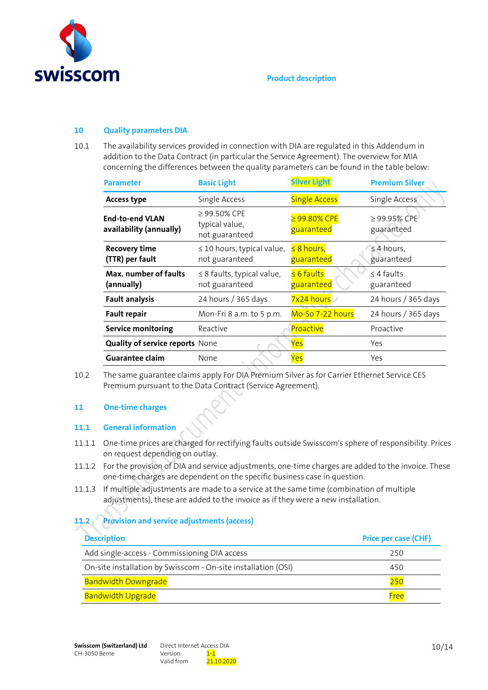

#### **10 Quality parameters DIA**

10.1 The availability services provided in connection with DIA are regulated in this Addendum in addition to the Data Contract (in particular the Service Agreement). The overview for MIA concerning the differences between the quality parameters can be found in the table below:

| <b>Parameter</b>                                  | <b>Basic Light</b>                                 | <b>Silver Light</b>             | <b>Premium Silver</b>         |
|---------------------------------------------------|----------------------------------------------------|---------------------------------|-------------------------------|
| <b>Access type</b>                                | Single Access                                      | <b>Single Access</b>            | Single Access                 |
| <b>End-to-end VLAN</b><br>availability (annually) | $≥$ 99.50% CPE<br>typical value,<br>not guaranteed | $\geq$ 99.80% CPE<br>guaranteed | ≥99.95% CPE<br>guaranteed     |
| <b>Recovery time</b><br>(TTR) per fault           | $\leq$ 10 hours, typical value,<br>not guaranteed  | $\leq 8$ hours,<br>guaranteed   | $\leq$ 4 hours,<br>guaranteed |
| Max. number of faults<br>(annually)               | $\leq$ 8 faults, typical value,<br>not guaranteed  | $\leq 6$ faults<br>guaranteed   | $\leq$ 4 faults<br>guaranteed |
| <b>Fault analysis</b>                             | 24 hours / 365 days                                | 7x24 hours                      | 24 hours / 365 days           |
| <b>Fault repair</b>                               | Mon-Fri 8 a.m. to 5 p.m.                           | Mo-So 7-22 hours                | 24 hours / 365 days           |
| <b>Service monitoring</b>                         | Reactive                                           | Proactive                       | Proactive                     |
| <b>Quality of service reports None</b>            |                                                    | Yes                             | Yes                           |
| <b>Guarantee claim</b>                            | None                                               | Yes                             | Yes                           |

10.2 The same guarantee claims apply For DIA Premium Silver as for Carrier Ethernet Service CES Premium pursuant to the Data Contract (Service Agreement).

#### **11 One-time charges**

#### **11.1 General information**

- 11.1.1 One-time prices are charged for rectifying faults outside Swisscom's sphere of responsibility. Prices on request depending on outlay.
- 11.1.2 For the provision of DIA and service adjustments, one-time charges are added to the invoice. These one-time charges are dependent on the specific business case in question.
- 11.1.3 If multiple adjustments are made to a service at the same time (combination of multiple adjustments), these are added to the invoice as if they were a new installation.

# **11.2 Provision and service adjustments (access)**

| <b>Description</b>                                            | <b>Price per case (CHF)</b> |
|---------------------------------------------------------------|-----------------------------|
| Add single-access - Commissioning DIA access                  | 250                         |
| On-site installation by Swisscom - On-site installation (OSI) | 450                         |
| <b>Bandwidth Downgrade</b>                                    | 250                         |
| <b>Bandwidth Upgrade</b>                                      | Free                        |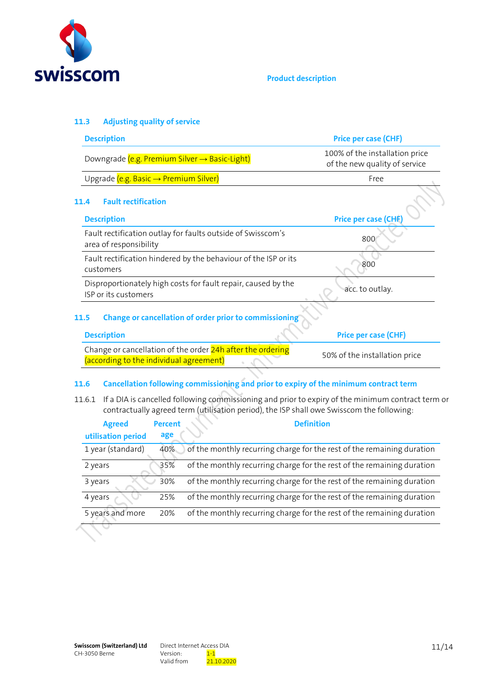

# **11.3 Adjusting quality of service**

| <b>Description</b>                                                                                                                                                                                       | Price per case (CHF)                                            |
|----------------------------------------------------------------------------------------------------------------------------------------------------------------------------------------------------------|-----------------------------------------------------------------|
| Downgrade (e.g. Premium Silver → Basic-Light)                                                                                                                                                            | 100% of the installation price<br>of the new quality of service |
| Upgrade $(e.g. Basic \rightarrow Premium Silver)$                                                                                                                                                        | Free                                                            |
| <b>Fault rectification</b><br>11.4                                                                                                                                                                       |                                                                 |
| <b>Description</b>                                                                                                                                                                                       | Price per case (CHF)                                            |
| Fault rectification outlay for faults outside of Swisscom's<br>area of responsibility                                                                                                                    | 800                                                             |
| Fault rectification hindered by the behaviour of the ISP or its<br>customers                                                                                                                             | 800                                                             |
| Disproportionately high costs for fault repair, caused by the<br>ISP or its customers                                                                                                                    | acc. to outlay.                                                 |
| <b>Change or cancellation of order prior to commissioning</b><br>11.5                                                                                                                                    |                                                                 |
| <b>Description</b>                                                                                                                                                                                       | Price per case (CHF)                                            |
| Change or cancellation of the order 24h after the ordering<br>(according to the individual agreement)                                                                                                    | 50% of the installation price                                   |
| Cancellation following commissioning and prior to expiry of the minimum contract term<br>11.6                                                                                                            |                                                                 |
| If a DIA is cancelled following commissioning and prior to expiry of the minimum contract term or<br>11.6.1<br>contractually agreed term (utilisation period), the ISP shall owe Swisscom the following: |                                                                 |
| American Development (1976)                                                                                                                                                                              | $R = 0.111$                                                     |

| <b>Agreed</b>      | <b>Percent</b> | <b>Definition</b>                                                      |
|--------------------|----------------|------------------------------------------------------------------------|
| utilisation period | age            |                                                                        |
| 1 year (standard)  | 40%            | of the monthly recurring charge for the rest of the remaining duration |
| 2 years            | 35%            | of the monthly recurring charge for the rest of the remaining duration |
| 3 years            | 30%            | of the monthly recurring charge for the rest of the remaining duration |
| 4 years            | 25%            | of the monthly recurring charge for the rest of the remaining duration |
| 5 years and more   | 20%            | of the monthly recurring charge for the rest of the remaining duration |
|                    |                |                                                                        |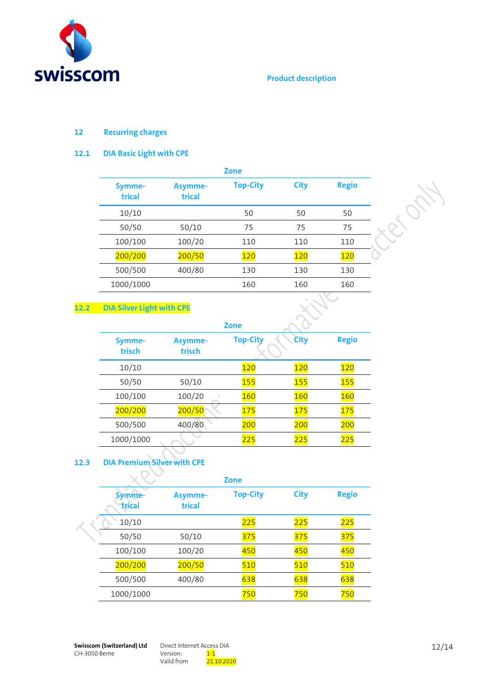

#### **12 Recurring charges**

#### **12.1 DIA Basic Light with CPE**

|                  |                          | <b>Zone</b>     |             |              |  |
|------------------|--------------------------|-----------------|-------------|--------------|--|
| Symme-<br>trical | <b>Asymme-</b><br>trical | <b>Top-City</b> | <b>City</b> | <b>Regio</b> |  |
| 10/10            |                          | 50              | 50          | 50           |  |
| 50/50            | 50/10                    | 75              | 75          | 75           |  |
| 100/100          | 100/20                   | 110             | 110         | 110          |  |
| 200/200          | 200/50                   | 120             | 120         | 120          |  |
| 500/500          | 400/80                   | 130             | 130         | 130          |  |
| 1000/1000        |                          | 160             | 160         | 160          |  |
|                  |                          |                 |             |              |  |

#### **12.2 DIA Silver Light with CPE**

|                  |                   | <b>Zone</b>     |             |              |
|------------------|-------------------|-----------------|-------------|--------------|
| Symme-<br>trisch | Asymme-<br>trisch | <b>Top-City</b> | <b>City</b> | <b>Regio</b> |
| 10/10            |                   | 120             | 120         | 120          |
| 50/50            | 50/10             | <b>155</b>      | <b>155</b>  | 155          |
| 100/100          | 100/20            | 160             | 160         | 160          |
| 200/200          | 200/50            | 175             | 175         | 175          |
| 500/500          | 400/80            | 200             | 200         | 200          |
| 1000/1000        |                   | 225             | 225         | 225          |

# **12.3 DIA Premium Silver with CPE**

|                  |                   | <b>Zone</b>     |             |              |
|------------------|-------------------|-----------------|-------------|--------------|
| Symme-<br>trical | Asymme-<br>trical | <b>Top-City</b> | <b>City</b> | <b>Regio</b> |
| 10/10            |                   | 225             | 225         | 225          |
| 50/50            | 50/10             | 375             | 375         | <b>375</b>   |
| 100/100          | 100/20            | 450             | 450         | 450          |
| 200/200          | 200/50            | 510             | 510         | 510          |
| 500/500          | 400/80            | 638             | 638         | 638          |
| 1000/1000        |                   | 750             | 750         | 750          |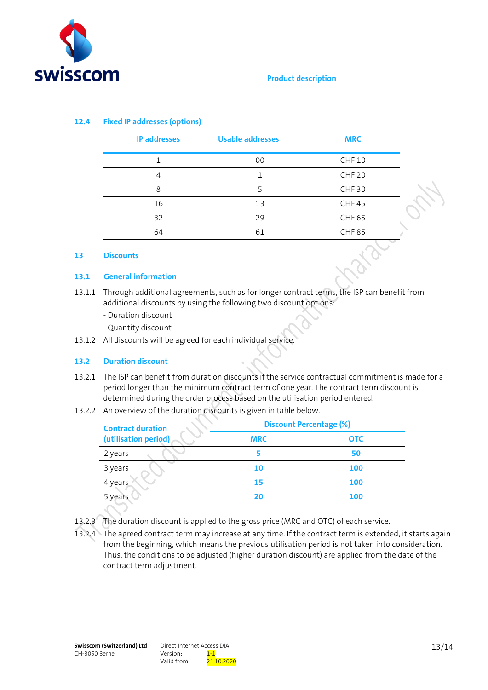

| <b>IP addresses</b> | <b>Usable addresses</b> | <b>MRC</b>    |
|---------------------|-------------------------|---------------|
|                     | 00                      | <b>CHF 10</b> |
| 4                   |                         | <b>CHF 20</b> |
| 8                   |                         | <b>CHF30</b>  |
| 16                  | 13                      | <b>CHF45</b>  |
| 32                  | 29                      | <b>CHF 65</b> |
| 64                  | 61                      | <b>CHF 85</b> |

#### **12.4 Fixed IP addresses (options)**

#### **13 Discounts**

#### **13.1 General information**

- 13.1.1 Through additional agreements, such as for longer contract terms, the ISP can benefit from additional discounts by using the following two discount options:
	- Duration discount
	- Quantity discount
- 13.1.2 All discounts will be agreed for each individual service.

#### **13.2 Duration discount**

- 13.2.1 The ISP can benefit from duration discounts if the service contractual commitment is made for a period longer than the minimum contract term of one year. The contract term discount is determined during the order process based on the utilisation period entered.
- 13.2.2 An overview of the duration discounts is given in table below.

| <b>Contract duration</b> | <b>Discount Percentage (%)</b> |            |
|--------------------------|--------------------------------|------------|
| (utilisation period)     | <b>MRC</b>                     | <b>OTC</b> |
| 2 years                  |                                | 50         |
| 3 years                  | 10                             | 100        |
| 4 years                  | 15                             | 100        |
| 5 years                  | 20                             | 100        |
|                          |                                |            |

- 13.2.3 The duration discount is applied to the gross price (MRC and OTC) of each service.
- 13.2.4 The agreed contract term may increase at any time. If the contract term is extended, it starts again from the beginning, which means the previous utilisation period is not taken into consideration. Thus, the conditions to be adjusted (higher duration discount) are applied from the date of the contract term adjustment.